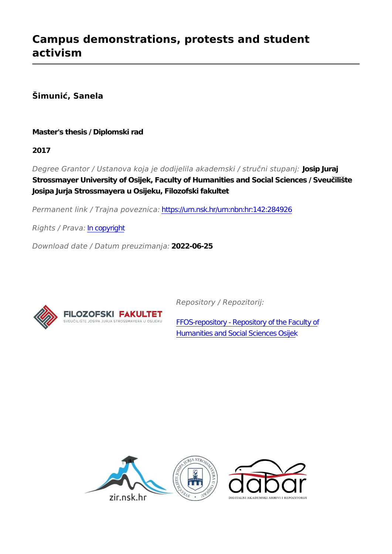**Šimunić, Sanela**

**Master's thesis / Diplomski rad**

**2017**

*Degree Grantor / Ustanova koja je dodijelila akademski / stručni stupanj:* **Josip Juraj Strossmayer University of Osijek, Faculty of Humanities and Social Sciences / Sveučilište Josipa Jurja Strossmayera u Osijeku, Filozofski fakultet**

*Permanent link / Trajna poveznica:* <https://urn.nsk.hr/urn:nbn:hr:142:284926>

*Rights / Prava:* [In copyright](http://rightsstatements.org/vocab/InC/1.0/)

*Download date / Datum preuzimanja:* **2022-06-25**



*Repository / Repozitorij:*

[FFOS-repository - Repository of the Faculty of](https://repozitorij.ffos.hr) [Humanities and Social Sciences Osijek](https://repozitorij.ffos.hr)

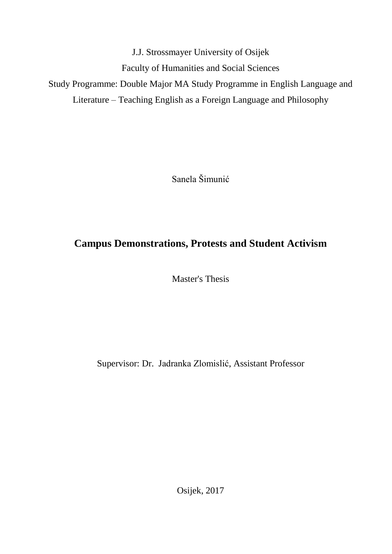J.J. Strossmayer University of Osijek Faculty of Humanities and Social Sciences Study Programme: Double Major MA Study Programme in English Language and Literature – Teaching English as a Foreign Language and Philosophy

Sanela Šimunić

# **Campus Demonstrations, Protests and Student Activism**

Master's Thesis

Supervisor: Dr. Jadranka Zlomislić, Assistant Professor

Osijek, 2017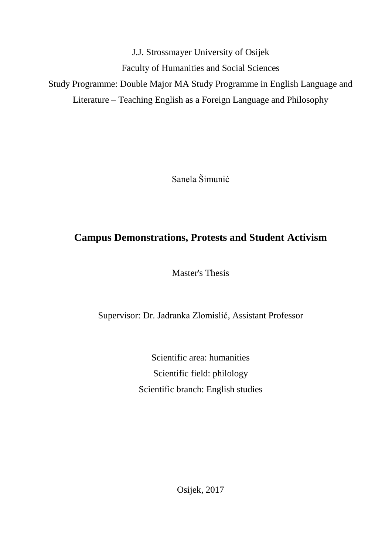J.J. Strossmayer University of Osijek Faculty of Humanities and Social Sciences Study Programme: Double Major MA Study Programme in English Language and Literature – Teaching English as a Foreign Language and Philosophy

Sanela Šimunić

# **Campus Demonstrations, Protests and Student Activism**

Master's Thesis

Supervisor: Dr. Jadranka Zlomislić, Assistant Professor

Scientific area: humanities Scientific field: philology Scientific branch: English studies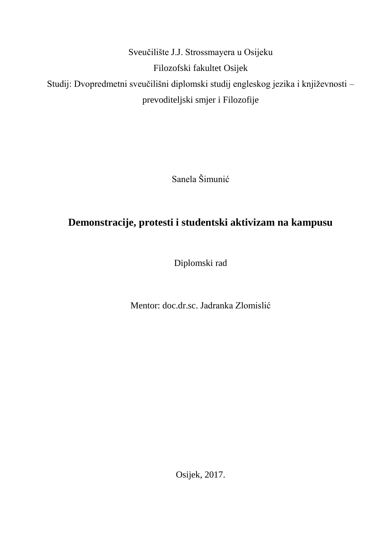Sveučilište J.J. Strossmayera u Osijeku Filozofski fakultet Osijek Studij: Dvopredmetni sveučilišni diplomski studij engleskog jezika i književnosti – prevoditeljski smjer i Filozofije

Sanela Šimunić

# **Demonstracije, protesti i studentski aktivizam na kampusu**

Diplomski rad

Mentor: doc.dr.sc. Jadranka Zlomislić

Osijek, 2017.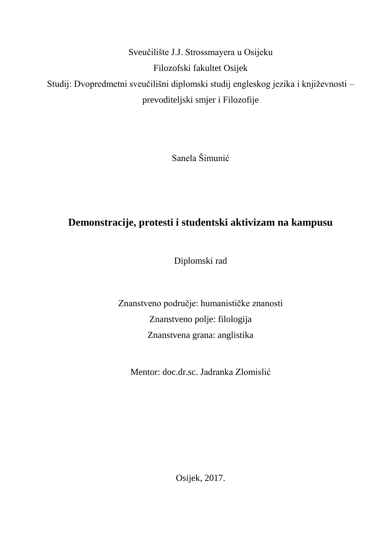Sveučilište J.J. Strossmayera u Osijeku Filozofski fakultet Osijek Studij: Dvopredmetni sveučilišni diplomski studij engleskog jezika i književnosti – prevoditeljski smjer i Filozofije

Sanela Šimunić

# **Demonstracije, protesti i studentski aktivizam na kampusu**

Diplomski rad

Znanstveno područje: humanističke znanosti Znanstveno polje: filologija Znanstvena grana: anglistika

Mentor: doc.dr.sc. Jadranka Zlomislić

Osijek, 2017.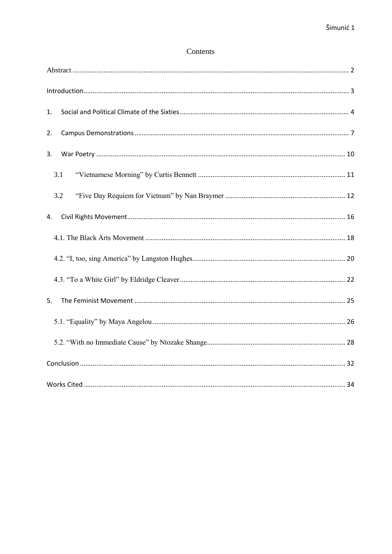# Contents

| 1.  |
|-----|
| 2.  |
| 3.  |
| 3.1 |
| 3.2 |
| 4.  |
|     |
|     |
|     |
| 5.  |
|     |
|     |
|     |
|     |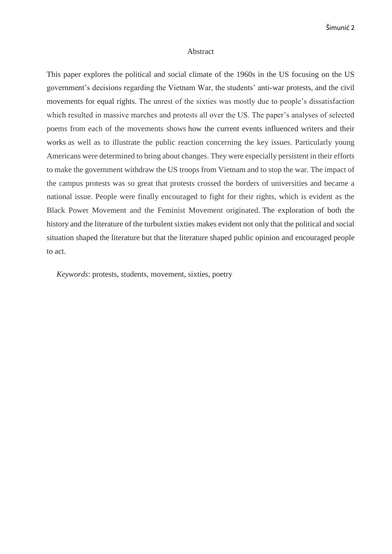#### Abstract

<span id="page-6-0"></span>This paper explores the political and social climate of the 1960s in the US focusing on the US government's decisions regarding the Vietnam War, the students' anti-war protests, and the civil movements for equal rights. The unrest of the sixties was mostly due to people's dissatisfaction which resulted in massive marches and protests all over the US. The paper's analyses of selected poems from each of the movements shows how the current events influenced writers and their works as well as to illustrate the public reaction concerning the key issues. Particularly young Americans were determined to bring about changes. They were especially persistent in their efforts to make the government withdraw the US troops from Vietnam and to stop the war. The impact of the campus protests was so great that protests crossed the borders of universities and became a national issue. People were finally encouraged to fight for their rights, which is evident as the Black Power Movement and the Feminist Movement originated. The exploration of both the history and the literature of the turbulent sixties makes evident not only that the political and social situation shaped the literature but that the literature shaped public opinion and encouraged people to act.

 *Keywords*: protests, students, movement, sixties, poetry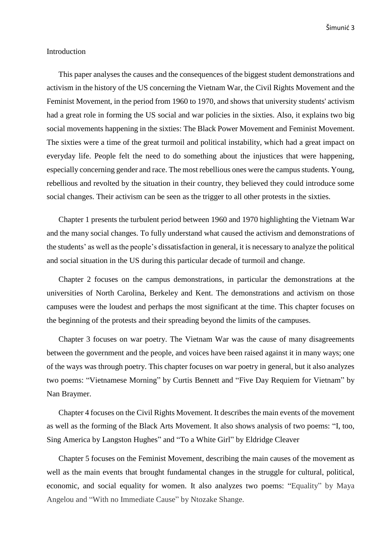#### <span id="page-7-0"></span>Introduction

This paper analyses the causes and the consequences of the biggest student demonstrations and activism in the history of the US concerning the Vietnam War, the Civil Rights Movement and the Feminist Movement, in the period from 1960 to 1970, and shows that university students' activism had a great role in forming the US social and war policies in the sixties. Also, it explains two big social movements happening in the sixties: The Black Power Movement and Feminist Movement. The sixties were a time of the great turmoil and political instability, which had a great impact on everyday life. People felt the need to do something about the injustices that were happening, especially concerning gender and race. The most rebellious ones were the campus students. Young, rebellious and revolted by the situation in their country, they believed they could introduce some social changes. Their activism can be seen as the trigger to all other protests in the sixties.

Chapter 1 presents the turbulent period between 1960 and 1970 highlighting the Vietnam War and the many social changes. To fully understand what caused the activism and demonstrations of the students' as well as the people's dissatisfaction in general, it is necessary to analyze the political and social situation in the US during this particular decade of turmoil and change.

Chapter 2 focuses on the campus demonstrations, in particular the demonstrations at the universities of North Carolina, Berkeley and Kent. The demonstrations and activism on those campuses were the loudest and perhaps the most significant at the time. This chapter focuses on the beginning of the protests and their spreading beyond the limits of the campuses.

Chapter 3 focuses on war poetry. The Vietnam War was the cause of many disagreements between the government and the people, and voices have been raised against it in many ways; one of the ways was through poetry. This chapter focuses on war poetry in general, but it also analyzes two poems: "Vietnamese Morning" by Curtis Bennett and "Five Day Requiem for Vietnam" by Nan Braymer.

Chapter 4 focuses on the Civil Rights Movement. It describes the main events of the movement as well as the forming of the Black Arts Movement. It also shows analysis of two poems: "I, too, Sing America by Langston Hughes" and "To a White Girl" by Eldridge Cleaver

Chapter 5 focuses on the Feminist Movement, describing the main causes of the movement as well as the main events that brought fundamental changes in the struggle for cultural, political, economic, and social equality for women. It also analyzes two poems: "Equality" by Maya Angelou and "With no Immediate Cause" by Ntozake Shange.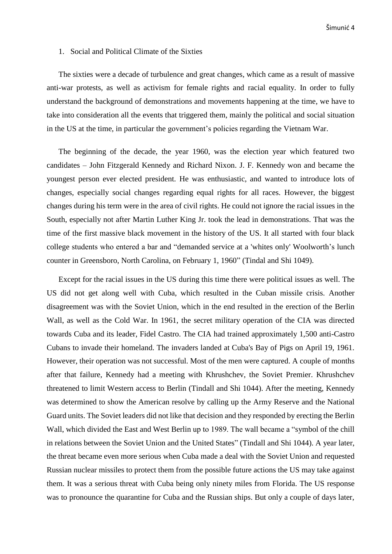#### <span id="page-8-0"></span>1. Social and Political Climate of the Sixties

The sixties were a decade of turbulence and great changes, which came as a result of massive anti-war protests, as well as activism for female rights and racial equality. In order to fully understand the background of demonstrations and movements happening at the time, we have to take into consideration all the events that triggered them, mainly the political and social situation in the US at the time, in particular the government's policies regarding the Vietnam War.

The beginning of the decade, the year 1960, was the election year which featured two candidates – John Fitzgerald Kennedy and Richard Nixon. J. F. Kennedy won and became the youngest person ever elected president. He was enthusiastic, and wanted to introduce lots of changes, especially social changes regarding equal rights for all races. However, the biggest changes during his term were in the area of civil rights. He could not ignore the racial issues in the South, especially not after Martin Luther King Jr. took the lead in demonstrations. That was the time of the first massive black movement in the history of the US. It all started with four black college students who entered a bar and "demanded service at a 'whites only' Woolworth's lunch counter in Greensboro, North Carolina, on February 1, 1960" (Tindal and Shi 1049).

Except for the racial issues in the US during this time there were political issues as well. The US did not get along well with Cuba, which resulted in the Cuban missile crisis. Another disagreement was with the Soviet Union, which in the end resulted in the erection of the Berlin Wall, as well as the Cold War. In 1961, the secret military operation of the CIA was directed towards Cuba and its leader, Fidel Castro. The CIA had trained approximately 1,500 anti-Castro Cubans to invade their homeland. The invaders landed at Cuba's Bay of Pigs on April 19, 1961. However, their operation was not successful. Most of the men were captured. A couple of months after that failure, Kennedy had a meeting with Khrushchev, the Soviet Premier. Khrushchev threatened to limit Western access to Berlin (Tindall and Shi 1044). After the meeting, Kennedy was determined to show the American resolve by calling up the Army Reserve and the National Guard units. The Soviet leaders did not like that decision and they responded by erecting the Berlin Wall, which divided the East and West Berlin up to 1989. The wall became a "symbol of the chill in relations between the Soviet Union and the United States" (Tindall and Shi 1044). A year later, the threat became even more serious when Cuba made a deal with the Soviet Union and requested Russian nuclear missiles to protect them from the possible future actions the US may take against them. It was a serious threat with Cuba being only ninety miles from Florida. The US response was to pronounce the quarantine for Cuba and the Russian ships. But only a couple of days later,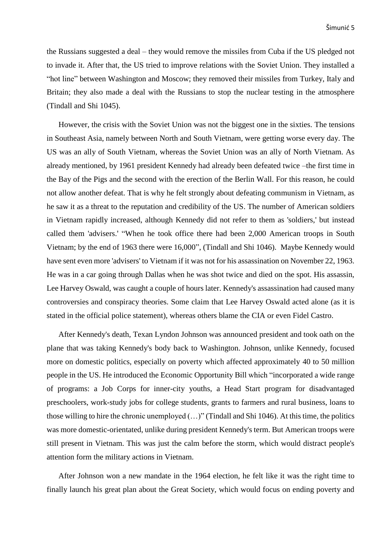the Russians suggested a deal – they would remove the missiles from Cuba if the US pledged not to invade it. After that, the US tried to improve relations with the Soviet Union. They installed a "hot line" between Washington and Moscow; they removed their missiles from Turkey, Italy and Britain; they also made a deal with the Russians to stop the nuclear testing in the atmosphere (Tindall and Shi 1045).

However, the crisis with the Soviet Union was not the biggest one in the sixties. The tensions in Southeast Asia, namely between North and South Vietnam, were getting worse every day. The US was an ally of South Vietnam, whereas the Soviet Union was an ally of North Vietnam. As already mentioned, by 1961 president Kennedy had already been defeated twice –the first time in the Bay of the Pigs and the second with the erection of the Berlin Wall. For this reason, he could not allow another defeat. That is why he felt strongly about defeating communism in Vietnam, as he saw it as a threat to the reputation and credibility of the US. The number of American soldiers in Vietnam rapidly increased, although Kennedy did not refer to them as 'soldiers,' but instead called them 'advisers.' "When he took office there had been 2,000 American troops in South Vietnam; by the end of 1963 there were 16,000", (Tindall and Shi 1046). Maybe Kennedy would have sent even more 'advisers' to Vietnam if it was not for his assassination on November 22, 1963. He was in a car going through Dallas when he was shot twice and died on the spot. His assassin, Lee Harvey Oswald, was caught a couple of hours later. Kennedy's assassination had caused many controversies and conspiracy theories. Some claim that Lee Harvey Oswald acted alone (as it is stated in the official police statement), whereas others blame the CIA or even Fidel Castro.

After Kennedy's death, Texan Lyndon Johnson was announced president and took oath on the plane that was taking Kennedy's body back to Washington. Johnson, unlike Kennedy, focused more on domestic politics, especially on poverty which affected approximately 40 to 50 million people in the US. He introduced the Economic Opportunity Bill which "incorporated a wide range of programs: a Job Corps for inner-city youths, a Head Start program for disadvantaged preschoolers, work-study jobs for college students, grants to farmers and rural business, loans to those willing to hire the chronic unemployed (…)" (Tindall and Shi 1046). At this time, the politics was more domestic-orientated, unlike during president Kennedy's term. But American troops were still present in Vietnam. This was just the calm before the storm, which would distract people's attention form the military actions in Vietnam.

After Johnson won a new mandate in the 1964 election, he felt like it was the right time to finally launch his great plan about the Great Society, which would focus on ending poverty and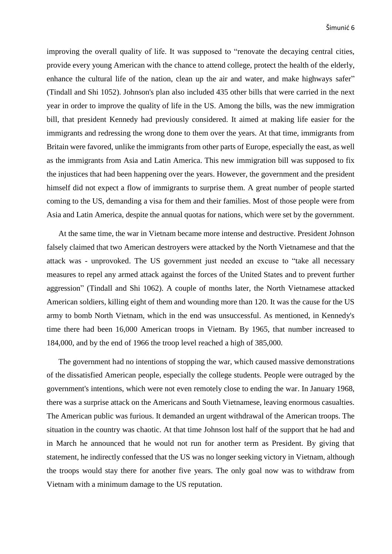improving the overall quality of life. It was supposed to "renovate the decaying central cities, provide every young American with the chance to attend college, protect the health of the elderly, enhance the cultural life of the nation, clean up the air and water, and make highways safer" (Tindall and Shi 1052). Johnson's plan also included 435 other bills that were carried in the next year in order to improve the quality of life in the US. Among the bills, was the new immigration bill, that president Kennedy had previously considered. It aimed at making life easier for the immigrants and redressing the wrong done to them over the years. At that time, immigrants from Britain were favored, unlike the immigrants from other parts of Europe, especially the east, as well as the immigrants from Asia and Latin America. This new immigration bill was supposed to fix the injustices that had been happening over the years. However, the government and the president himself did not expect a flow of immigrants to surprise them. A great number of people started coming to the US, demanding a visa for them and their families. Most of those people were from Asia and Latin America, despite the annual quotas for nations, which were set by the government.

At the same time, the war in Vietnam became more intense and destructive. President Johnson falsely claimed that two American destroyers were attacked by the North Vietnamese and that the attack was - unprovoked. The US government just needed an excuse to "take all necessary measures to repel any armed attack against the forces of the United States and to prevent further aggression" (Tindall and Shi 1062). A couple of months later, the North Vietnamese attacked American soldiers, killing eight of them and wounding more than 120. It was the cause for the US army to bomb North Vietnam, which in the end was unsuccessful. As mentioned, in Kennedy's time there had been 16,000 American troops in Vietnam. By 1965, that number increased to 184,000, and by the end of 1966 the troop level reached a high of 385,000.

The government had no intentions of stopping the war, which caused massive demonstrations of the dissatisfied American people, especially the college students. People were outraged by the government's intentions, which were not even remotely close to ending the war. In January 1968, there was a surprise attack on the Americans and South Vietnamese, leaving enormous casualties. The American public was furious. It demanded an urgent withdrawal of the American troops. The situation in the country was chaotic. At that time Johnson lost half of the support that he had and in March he announced that he would not run for another term as President. By giving that statement, he indirectly confessed that the US was no longer seeking victory in Vietnam, although the troops would stay there for another five years. The only goal now was to withdraw from Vietnam with a minimum damage to the US reputation.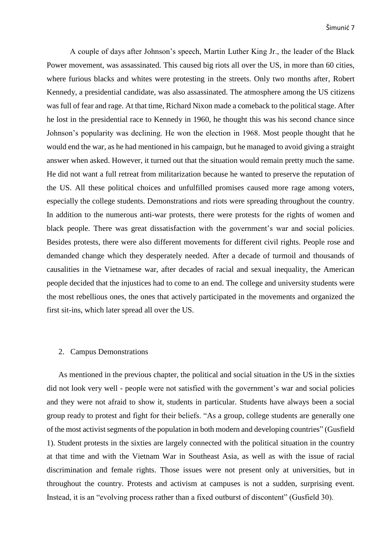A couple of days after Johnson's speech, Martin Luther King Jr., the leader of the Black Power movement, was assassinated. This caused big riots all over the US, in more than 60 cities, where furious blacks and whites were protesting in the streets. Only two months after, Robert Kennedy, a presidential candidate, was also assassinated. The atmosphere among the US citizens was full of fear and rage. At that time, Richard Nixon made a comeback to the political stage. After he lost in the presidential race to Kennedy in 1960, he thought this was his second chance since Johnson's popularity was declining. He won the election in 1968. Most people thought that he would end the war, as he had mentioned in his campaign, but he managed to avoid giving a straight answer when asked. However, it turned out that the situation would remain pretty much the same. He did not want a full retreat from militarization because he wanted to preserve the reputation of the US. All these political choices and unfulfilled promises caused more rage among voters, especially the college students. Demonstrations and riots were spreading throughout the country. In addition to the numerous anti-war protests, there were protests for the rights of women and black people. There was great dissatisfaction with the government's war and social policies. Besides protests, there were also different movements for different civil rights. People rose and demanded change which they desperately needed. After a decade of turmoil and thousands of causalities in the Vietnamese war, after decades of racial and sexual inequality, the American people decided that the injustices had to come to an end. The college and university students were the most rebellious ones, the ones that actively participated in the movements and organized the first sit-ins, which later spread all over the US.

### <span id="page-11-0"></span>2. Campus Demonstrations

As mentioned in the previous chapter, the political and social situation in the US in the sixties did not look very well - people were not satisfied with the government's war and social policies and they were not afraid to show it, students in particular. Students have always been a social group ready to protest and fight for their beliefs. "As a group, college students are generally one of the most activist segments of the population in both modern and developing countries" (Gusfield 1). Student protests in the sixties are largely connected with the political situation in the country at that time and with the Vietnam War in Southeast Asia, as well as with the issue of racial discrimination and female rights. Those issues were not present only at universities, but in throughout the country. Protests and activism at campuses is not a sudden, surprising event. Instead, it is an "evolving process rather than a fixed outburst of discontent" (Gusfield 30).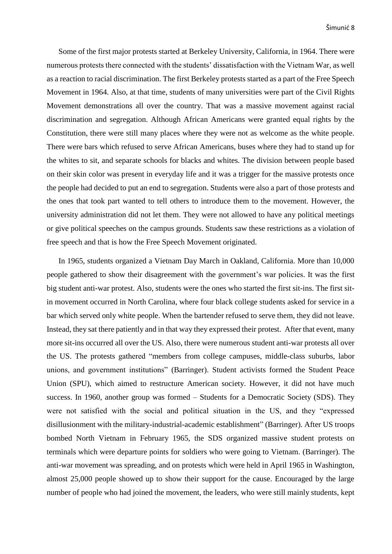Some of the first major protests started at Berkeley University, California, in 1964. There were numerous protests there connected with the students' dissatisfaction with the Vietnam War, as well as a reaction to racial discrimination. The first Berkeley protests started as a part of the Free Speech Movement in 1964. Also, at that time, students of many universities were part of the Civil Rights Movement demonstrations all over the country. That was a massive movement against racial discrimination and segregation. Although African Americans were granted equal rights by the Constitution, there were still many places where they were not as welcome as the white people. There were bars which refused to serve African Americans, buses where they had to stand up for the whites to sit, and separate schools for blacks and whites. The division between people based on their skin color was present in everyday life and it was a trigger for the massive protests once the people had decided to put an end to segregation. Students were also a part of those protests and the ones that took part wanted to tell others to introduce them to the movement. However, the university administration did not let them. They were not allowed to have any political meetings or give political speeches on the campus grounds. Students saw these restrictions as a violation of free speech and that is how the Free Speech Movement originated.

In 1965, students organized a Vietnam Day March in Oakland, California. More than 10,000 people gathered to show their disagreement with the government's war policies. It was the first big student anti-war protest. Also, students were the ones who started the first sit-ins. The first sitin movement occurred in North Carolina, where four black college students asked for service in a bar which served only white people. When the bartender refused to serve them, they did not leave. Instead, they sat there patiently and in that way they expressed their protest. After that event, many more sit-ins occurred all over the US. Also, there were numerous student anti-war protests all over the US. The protests gathered "members from college campuses, middle-class suburbs, labor unions, and government institutions" (Barringer). Student activists formed the Student Peace Union (SPU), which aimed to restructure American society. However, it did not have much success. In 1960, another group was formed – Students for a Democratic Society (SDS). They were not satisfied with the social and political situation in the US, and they "expressed disillusionment with the military-industrial-academic establishment" (Barringer). After US troops bombed North Vietnam in February 1965, the SDS organized massive student protests on terminals which were departure points for soldiers who were going to Vietnam. (Barringer). The anti-war movement was spreading, and on protests which were held in April 1965 in Washington, almost 25,000 people showed up to show their support for the cause. Encouraged by the large number of people who had joined the movement, the leaders, who were still mainly students, kept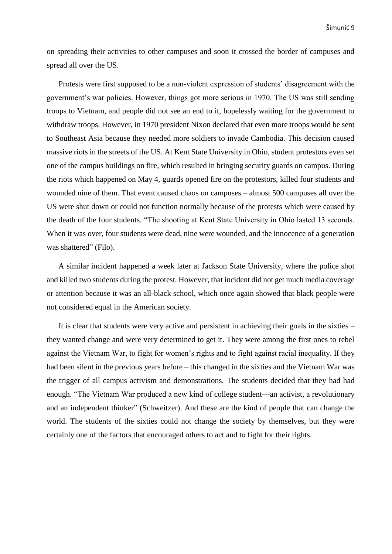on spreading their activities to other campuses and soon it crossed the border of campuses and spread all over the US.

Protests were first supposed to be a non-violent expression of students' disagreement with the government's war policies. However, things got more serious in 1970. The US was still sending troops to Vietnam, and people did not see an end to it, hopelessly waiting for the government to withdraw troops. However, in 1970 president Nixon declared that even more troops would be sent to Southeast Asia because they needed more soldiers to invade Cambodia. This decision caused massive riots in the streets of the US. At Kent State University in Ohio, student protestors even set one of the campus buildings on fire, which resulted in bringing security guards on campus. During the riots which happened on May 4, guards opened fire on the protestors, killed four students and wounded nine of them. That event caused chaos on campuses – almost 500 campuses all over the US were shut down or could not function normally because of the protests which were caused by the death of the four students. "The shooting at Kent State University in Ohio lasted 13 seconds. When it was over, four students were dead, nine were wounded, and the innocence of a generation was shattered" (Filo).

A similar incident happened a week later at Jackson State University, where the police shot and killed two students during the protest. However, that incident did not get much media coverage or attention because it was an all-black school, which once again showed that black people were not considered equal in the American society.

It is clear that students were very active and persistent in achieving their goals in the sixties – they wanted change and were very determined to get it. They were among the first ones to rebel against the Vietnam War, to fight for women's rights and to fight against racial inequality. If they had been silent in the previous years before – this changed in the sixties and the Vietnam War was the trigger of all campus activism and demonstrations. The students decided that they had had enough. "The Vietnam War produced a new kind of college student—an activist, a revolutionary and an independent thinker" (Schweitzer). And these are the kind of people that can change the world. The students of the sixties could not change the society by themselves, but they were certainly one of the factors that encouraged others to act and to fight for their rights.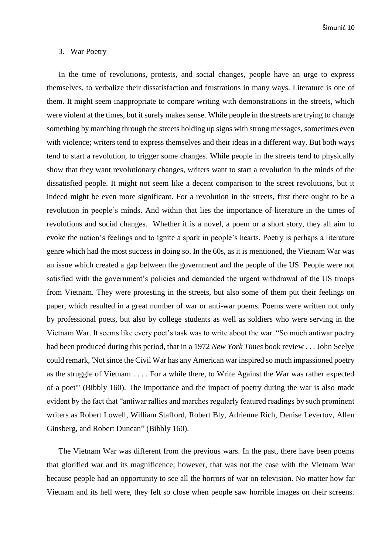Šimunić 10

#### <span id="page-14-0"></span>3. War Poetry

In the time of revolutions, protests, and social changes, people have an urge to express themselves, to verbalize their dissatisfaction and frustrations in many ways. Literature is one of them. It might seem inappropriate to compare writing with demonstrations in the streets, which were violent at the times, but it surely makes sense. While people in the streets are trying to change something by marching through the streets holding up signs with strong messages, sometimes even with violence; writers tend to express themselves and their ideas in a different way. But both ways tend to start a revolution, to trigger some changes. While people in the streets tend to physically show that they want revolutionary changes, writers want to start a revolution in the minds of the dissatisfied people. It might not seem like a decent comparison to the street revolutions, but it indeed might be even more significant. For a revolution in the streets, first there ought to be a revolution in people's minds. And within that lies the importance of literature in the times of revolutions and social changes. Whether it is a novel, a poem or a short story, they all aim to evoke the nation's feelings and to ignite a spark in people's hearts. Poetry is perhaps a literature genre which had the most success in doing so. In the 60s, as it is mentioned, the Vietnam War was an issue which created a gap between the government and the people of the US. People were not satisfied with the government's policies and demanded the urgent withdrawal of the US troops from Vietnam. They were protesting in the streets, but also some of them put their feelings on paper, which resulted in a great number of war or anti-war poems. Poems were written not only by professional poets, but also by college students as well as soldiers who were serving in the Vietnam War. It seems like every poet's task was to write about the war. "So much antiwar poetry had been produced during this period, that in a 1972 *New York Times* book review . . . John Seelye could remark, 'Not since the Civil War has any American war inspired so much impassioned poetry as the struggle of Vietnam . . . . For a while there, to Write Against the War was rather expected of a poet'" (Bibbly 160). The importance and the impact of poetry during the war is also made evident by the fact that "antiwar rallies and marches regularly featured readings by such prominent writers as Robert Lowell, William Stafford, Robert Bly, Adrienne Rich, Denise Levertov, Allen Ginsberg, and Robert Duncan" (Bibbly 160).

The Vietnam War was different from the previous wars. In the past, there have been poems that glorified war and its magnificence; however, that was not the case with the Vietnam War because people had an opportunity to see all the horrors of war on television. No matter how far Vietnam and its hell were, they felt so close when people saw horrible images on their screens.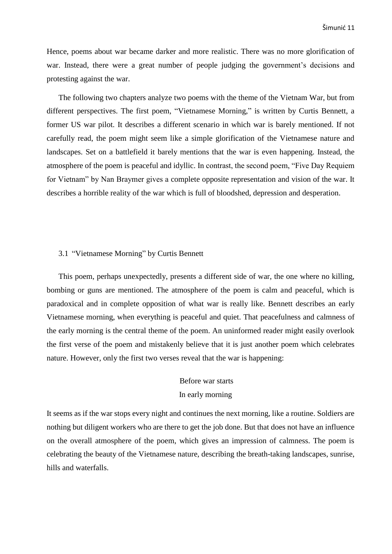Hence, poems about war became darker and more realistic. There was no more glorification of war. Instead, there were a great number of people judging the government's decisions and protesting against the war.

The following two chapters analyze two poems with the theme of the Vietnam War, but from different perspectives. The first poem, "Vietnamese Morning," is written by Curtis Bennett, a former US war pilot. It describes a different scenario in which war is barely mentioned. If not carefully read, the poem might seem like a simple glorification of the Vietnamese nature and landscapes. Set on a battlefield it barely mentions that the war is even happening. Instead, the atmosphere of the poem is peaceful and idyllic. In contrast, the second poem, "Five Day Requiem for Vietnam" by Nan Braymer gives a complete opposite representation and vision of the war. It describes a horrible reality of the war which is full of bloodshed, depression and desperation.

## <span id="page-15-0"></span>3.1 "Vietnamese Morning" by Curtis Bennett

This poem, perhaps unexpectedly, presents a different side of war, the one where no killing, bombing or guns are mentioned. The atmosphere of the poem is calm and peaceful, which is paradoxical and in complete opposition of what war is really like. Bennett describes an early Vietnamese morning, when everything is peaceful and quiet. That peacefulness and calmness of the early morning is the central theme of the poem. An uninformed reader might easily overlook the first verse of the poem and mistakenly believe that it is just another poem which celebrates nature. However, only the first two verses reveal that the war is happening:

# Before war starts In early morning

It seems as if the war stops every night and continues the next morning, like a routine. Soldiers are nothing but diligent workers who are there to get the job done. But that does not have an influence on the overall atmosphere of the poem, which gives an impression of calmness. The poem is celebrating the beauty of the Vietnamese nature, describing the breath-taking landscapes, sunrise, hills and waterfalls.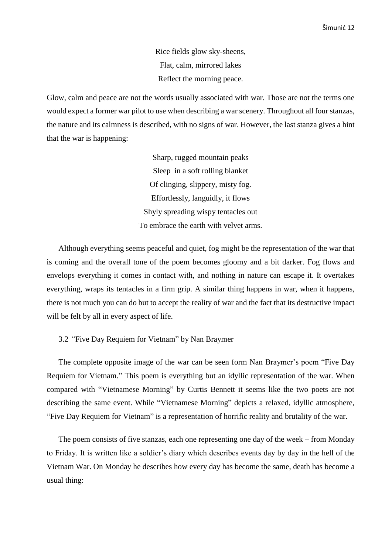Rice fields glow sky-sheens, Flat, calm, mirrored lakes Reflect the morning peace.

Glow, calm and peace are not the words usually associated with war. Those are not the terms one would expect a former war pilot to use when describing a war scenery. Throughout all four stanzas, the nature and its calmness is described, with no signs of war. However, the last stanza gives a hint that the war is happening:

> Sharp, rugged mountain peaks Sleep in a soft rolling blanket Of clinging, slippery, misty fog. Effortlessly, languidly, it flows Shyly spreading wispy tentacles out To embrace the earth with velvet arms.

Although everything seems peaceful and quiet, fog might be the representation of the war that is coming and the overall tone of the poem becomes gloomy and a bit darker. Fog flows and envelops everything it comes in contact with, and nothing in nature can escape it. It overtakes everything, wraps its tentacles in a firm grip. A similar thing happens in war, when it happens, there is not much you can do but to accept the reality of war and the fact that its destructive impact will be felt by all in every aspect of life.

#### <span id="page-16-0"></span>3.2 "Five Day Requiem for Vietnam" by Nan Braymer

The complete opposite image of the war can be seen form Nan Braymer's poem "Five Day Requiem for Vietnam." This poem is everything but an idyllic representation of the war. When compared with "Vietnamese Morning" by Curtis Bennett it seems like the two poets are not describing the same event. While "Vietnamese Morning" depicts a relaxed, idyllic atmosphere, "Five Day Requiem for Vietnam" is a representation of horrific reality and brutality of the war.

The poem consists of five stanzas, each one representing one day of the week – from Monday to Friday. It is written like a soldier's diary which describes events day by day in the hell of the Vietnam War. On Monday he describes how every day has become the same, death has become a usual thing: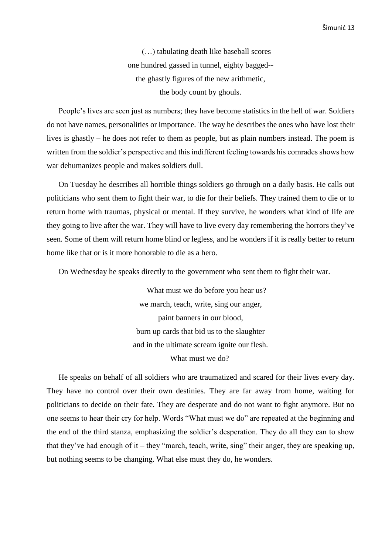(…) tabulating death like baseball scores one hundred gassed in tunnel, eighty bagged- the ghastly figures of the new arithmetic, the body count by ghouls.

People's lives are seen just as numbers; they have become statistics in the hell of war. Soldiers do not have names, personalities or importance. The way he describes the ones who have lost their lives is ghastly – he does not refer to them as people, but as plain numbers instead. The poem is written from the soldier's perspective and this indifferent feeling towards his comrades shows how war dehumanizes people and makes soldiers dull.

On Tuesday he describes all horrible things soldiers go through on a daily basis. He calls out politicians who sent them to fight their war, to die for their beliefs. They trained them to die or to return home with traumas, physical or mental. If they survive, he wonders what kind of life are they going to live after the war. They will have to live every day remembering the horrors they've seen. Some of them will return home blind or legless, and he wonders if it is really better to return home like that or is it more honorable to die as a hero.

On Wednesday he speaks directly to the government who sent them to fight their war.

What must we do before you hear us? we march, teach, write, sing our anger, paint banners in our blood, burn up cards that bid us to the slaughter and in the ultimate scream ignite our flesh. What must we do?

He speaks on behalf of all soldiers who are traumatized and scared for their lives every day. They have no control over their own destinies. They are far away from home, waiting for politicians to decide on their fate. They are desperate and do not want to fight anymore. But no one seems to hear their cry for help. Words "What must we do" are repeated at the beginning and the end of the third stanza, emphasizing the soldier's desperation. They do all they can to show that they've had enough of it – they "march, teach, write, sing" their anger, they are speaking up, but nothing seems to be changing. What else must they do, he wonders.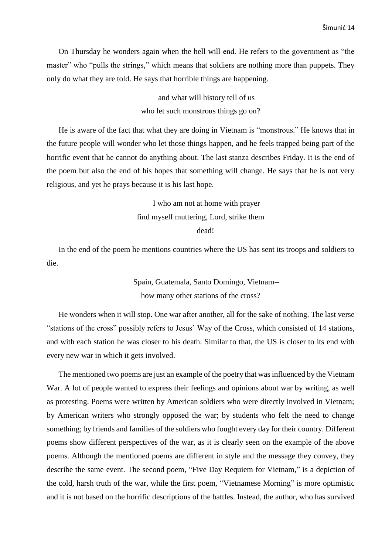On Thursday he wonders again when the hell will end. He refers to the government as "the master" who "pulls the strings," which means that soldiers are nothing more than puppets. They only do what they are told. He says that horrible things are happening.

> and what will history tell of us who let such monstrous things go on?

He is aware of the fact that what they are doing in Vietnam is "monstrous." He knows that in the future people will wonder who let those things happen, and he feels trapped being part of the horrific event that he cannot do anything about. The last stanza describes Friday. It is the end of the poem but also the end of his hopes that something will change. He says that he is not very religious, and yet he prays because it is his last hope.

> I who am not at home with prayer find myself muttering, Lord, strike them

> > dead!

In the end of the poem he mentions countries where the US has sent its troops and soldiers to die.

> Spain, Guatemala, Santo Domingo, Vietnam- how many other stations of the cross?

He wonders when it will stop. One war after another, all for the sake of nothing. The last verse "stations of the cross" possibly refers to Jesus' Way of the Cross, which consisted of 14 stations, and with each station he was closer to his death. Similar to that, the US is closer to its end with every new war in which it gets involved.

The mentioned two poems are just an example of the poetry that was influenced by the Vietnam War. A lot of people wanted to express their feelings and opinions about war by writing, as well as protesting. Poems were written by American soldiers who were directly involved in Vietnam; by American writers who strongly opposed the war; by students who felt the need to change something; by friends and families of the soldiers who fought every day for their country. Different poems show different perspectives of the war, as it is clearly seen on the example of the above poems. Although the mentioned poems are different in style and the message they convey, they describe the same event. The second poem, "Five Day Requiem for Vietnam," is a depiction of the cold, harsh truth of the war, while the first poem, "Vietnamese Morning" is more optimistic and it is not based on the horrific descriptions of the battles. Instead, the author, who has survived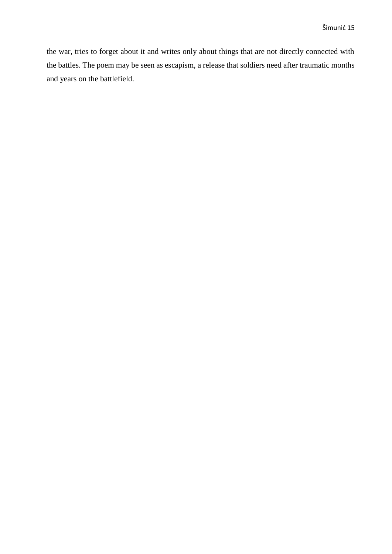the war, tries to forget about it and writes only about things that are not directly connected with the battles. The poem may be seen as escapism, a release that soldiers need after traumatic months and years on the battlefield.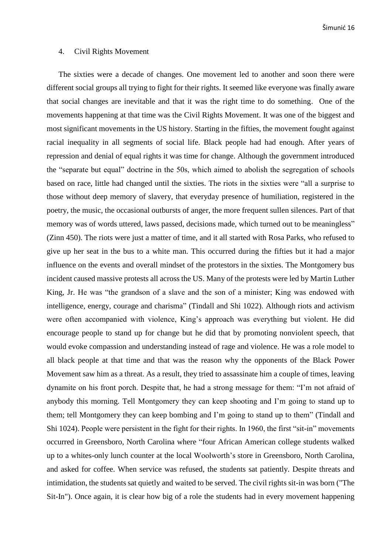## <span id="page-20-0"></span>4. Civil Rights Movement

The sixties were a decade of changes. One movement led to another and soon there were different social groups all trying to fight for their rights. It seemed like everyone was finally aware that social changes are inevitable and that it was the right time to do something. One of the movements happening at that time was the Civil Rights Movement. It was one of the biggest and most significant movements in the US history. Starting in the fifties, the movement fought against racial inequality in all segments of social life. Black people had had enough. After years of repression and denial of equal rights it was time for change. Although the government introduced the "separate but equal" doctrine in the 50s, which aimed to abolish the segregation of schools based on race, little had changed until the sixties. The riots in the sixties were "all a surprise to those without deep memory of slavery, that everyday presence of humiliation, registered in the poetry, the music, the occasional outbursts of anger, the more frequent sullen silences. Part of that memory was of words uttered, laws passed, decisions made, which turned out to be meaningless" (Zinn 450). The riots were just a matter of time, and it all started with Rosa Parks, who refused to give up her seat in the bus to a white man. This occurred during the fifties but it had a major influence on the events and overall mindset of the protestors in the sixties. The Montgomery bus incident caused massive protests all across the US. Many of the protests were led by Martin Luther King, Jr. He was "the grandson of a slave and the son of a minister; King was endowed with intelligence, energy, courage and charisma" (Tindall and Shi 1022). Although riots and activism were often accompanied with violence, King's approach was everything but violent. He did encourage people to stand up for change but he did that by promoting nonviolent speech, that would evoke compassion and understanding instead of rage and violence. He was a role model to all black people at that time and that was the reason why the opponents of the Black Power Movement saw him as a threat. As a result, they tried to assassinate him a couple of times, leaving dynamite on his front porch. Despite that, he had a strong message for them: "I'm not afraid of anybody this morning. Tell Montgomery they can keep shooting and I'm going to stand up to them; tell Montgomery they can keep bombing and I'm going to stand up to them" (Tindall and Shi 1024). People were persistent in the fight for their rights. In 1960, the first "sit-in" movements occurred in Greensboro, North Carolina where "four African American college students walked up to a whites-only lunch counter at the local Woolworth's store in Greensboro, North Carolina, and asked for coffee. When service was refused, the students sat patiently. Despite threats and intimidation, the students sat quietly and waited to be served. The civil rights sit-in was born ("The Sit-In"). Once again, it is clear how big of a role the students had in every movement happening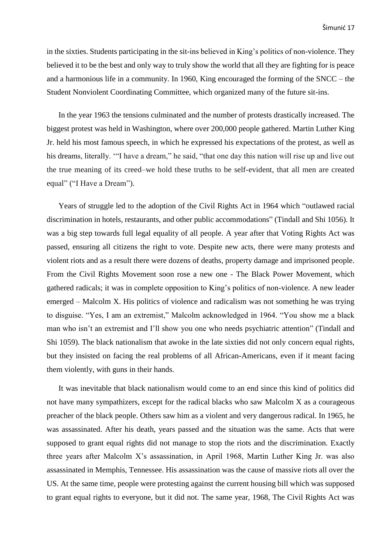in the sixties. Students participating in the sit-ins believed in King's politics of non-violence. They believed it to be the best and only way to truly show the world that all they are fighting for is peace and a harmonious life in a community. In 1960, King encouraged the forming of the SNCC – the Student Nonviolent Coordinating Committee, which organized many of the future sit-ins.

In the year 1963 the tensions culminated and the number of protests drastically increased. The biggest protest was held in Washington, where over 200,000 people gathered. Martin Luther King Jr. held his most famous speech, in which he expressed his expectations of the protest, as well as his dreams, literally. '"I have a dream," he said, "that one day this nation will rise up and live out the true meaning of its creed–we hold these truths to be self-evident, that all men are created equal" ("I Have a Dream").

Years of struggle led to the adoption of the Civil Rights Act in 1964 which "outlawed racial discrimination in hotels, restaurants, and other public accommodations" (Tindall and Shi 1056). It was a big step towards full legal equality of all people. A year after that Voting Rights Act was passed, ensuring all citizens the right to vote. Despite new acts, there were many protests and violent riots and as a result there were dozens of deaths, property damage and imprisoned people. From the Civil Rights Movement soon rose a new one - The Black Power Movement, which gathered radicals; it was in complete opposition to King's politics of non-violence. A new leader emerged – Malcolm X. His politics of violence and radicalism was not something he was trying to disguise. "Yes, I am an extremist," Malcolm acknowledged in 1964. "You show me a black man who isn't an extremist and I'll show you one who needs psychiatric attention" (Tindall and Shi 1059). The black nationalism that awoke in the late sixties did not only concern equal rights, but they insisted on facing the real problems of all African-Americans, even if it meant facing them violently, with guns in their hands.

It was inevitable that black nationalism would come to an end since this kind of politics did not have many sympathizers, except for the radical blacks who saw Malcolm X as a courageous preacher of the black people. Others saw him as a violent and very dangerous radical. In 1965, he was assassinated. After his death, years passed and the situation was the same. Acts that were supposed to grant equal rights did not manage to stop the riots and the discrimination. Exactly three years after Malcolm X's assassination, in April 1968, Martin Luther King Jr. was also assassinated in Memphis, Tennessee. His assassination was the cause of massive riots all over the US. At the same time, people were protesting against the current housing bill which was supposed to grant equal rights to everyone, but it did not. The same year, 1968, The Civil Rights Act was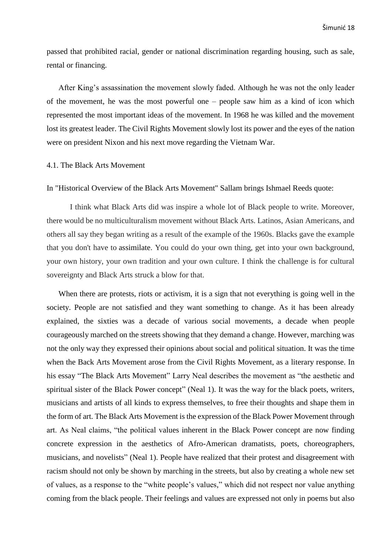passed that prohibited racial, gender or national discrimination regarding housing, such as sale, rental or financing.

After King's assassination the movement slowly faded. Although he was not the only leader of the movement, he was the most powerful one – people saw him as a kind of icon which represented the most important ideas of the movement. In 1968 he was killed and the movement lost its greatest leader. The Civil Rights Movement slowly lost its power and the eyes of the nation were on president Nixon and his next move regarding the Vietnam War.

### <span id="page-22-0"></span>4.1. The Black Arts Movement

#### In "Historical Overview of the Black Arts Movement" Sallam brings Ishmael Reeds quote:

I think what Black Arts did was inspire a whole lot of Black people to write. Moreover, there would be no multiculturalism movement without Black Arts. Latinos, Asian Americans, and others all say they began writing as a result of the example of the 1960s. Blacks gave the example that you don't have to [assimilate.](https://en.wikipedia.org/wiki/Cultural_assimilation) You could do your own thing, get into your own background, your own history, your own tradition and your own culture. I think the challenge is for cultural sovereignty and Black Arts struck a blow for that.

When there are protests, riots or activism, it is a sign that not everything is going well in the society. People are not satisfied and they want something to change. As it has been already explained, the sixties was a decade of various social movements, a decade when people courageously marched on the streets showing that they demand a change. However, marching was not the only way they expressed their opinions about social and political situation. It was the time when the Back Arts Movement arose from the Civil Rights Movement, as a literary response. In his essay "The Black Arts Movement" Larry Neal describes the movement as "the aesthetic and spiritual sister of the Black Power concept" (Neal 1). It was the way for the black poets, writers, musicians and artists of all kinds to express themselves, to free their thoughts and shape them in the form of art. The Black Arts Movement is the expression of the Black Power Movement through art. As Neal claims, "the political values inherent in the Black Power concept are now finding concrete expression in the aesthetics of Afro-American dramatists, poets, choreographers, musicians, and novelists" (Neal 1). People have realized that their protest and disagreement with racism should not only be shown by marching in the streets, but also by creating a whole new set of values, as a response to the "white people's values," which did not respect nor value anything coming from the black people. Their feelings and values are expressed not only in poems but also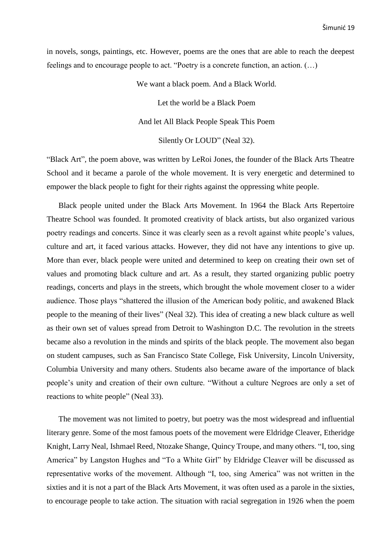in novels, songs, paintings, etc. However, poems are the ones that are able to reach the deepest feelings and to encourage people to act. "Poetry is a concrete function, an action. (…)

We want a black poem. And a Black World.

Let the world be a Black Poem And let All Black People Speak This Poem Silently Or LOUD" (Neal 32).

"Black Art"*,* the poem above, was written by LeRoi Jones, the founder of the Black Arts Theatre School and it became a parole of the whole movement. It is very energetic and determined to empower the black people to fight for their rights against the oppressing white people.

Black people united under the Black Arts Movement. In 1964 the Black Arts Repertoire Theatre School was founded. It promoted creativity of black artists, but also organized various poetry readings and concerts. Since it was clearly seen as a revolt against white people's values, culture and art, it faced various attacks. However, they did not have any intentions to give up. More than ever, black people were united and determined to keep on creating their own set of values and promoting black culture and art. As a result, they started organizing public poetry readings, concerts and plays in the streets, which brought the whole movement closer to a wider audience. Those plays "shattered the illusion of the American body politic, and awakened Black people to the meaning of their lives" (Neal 32). This idea of creating a new black culture as well as their own set of values spread from Detroit to Washington D.C. The revolution in the streets became also a revolution in the minds and spirits of the black people. The movement also began on student campuses, such as San Francisco State College, Fisk University, Lincoln University, Columbia University and many others. Students also became aware of the importance of black people's unity and creation of their own culture. "Without a culture Negroes are only a set of reactions to white people" (Neal 33).

The movement was not limited to poetry, but poetry was the most widespread and influential literary genre. Some of the most famous poets of the movement were Eldridge Cleaver, [Etheridge](https://www.poets.org/poetsorg/poet/etheridge-knight)  [Knight,](https://www.poets.org/poetsorg/poet/etheridge-knight) Larry Neal, [Ishmael Reed,](https://www.poets.org/poetsorg/poet/ishmael-reed) [Ntozake Shange,](https://www.poets.org/poetsorg/poet/ntozake-shange) [Quincy Troupe,](https://www.poets.org/poetsorg/poet/quincy-troupe) and many others. "I, too, sing America" by Langston Hughes and "To a White Girl" by Eldridge Cleaver will be discussed as representative works of the movement. Although "I, too, sing America" was not written in the sixties and it is not a part of the Black Arts Movement, it was often used as a parole in the sixties, to encourage people to take action. The situation with racial segregation in 1926 when the poem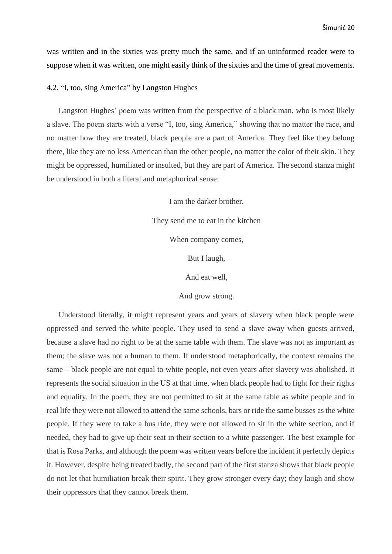was written and in the sixties was pretty much the same, and if an uninformed reader were to suppose when it was written, one might easily think of the sixties and the time of great movements.

### <span id="page-24-0"></span>4.2. "I, too, sing America" by Langston Hughes

Langston Hughes' poem was written from the perspective of a black man, who is most likely a slave. The poem starts with a verse "I, too, sing America," showing that no matter the race, and no matter how they are treated, black people are a part of America. They feel like they belong there, like they are no less American than the other people, no matter the color of their skin. They might be oppressed, humiliated or insulted, but they are part of America. The second stanza might be understood in both a literal and metaphorical sense:

> I am the darker brother. They send me to eat in the kitchen When company comes, But I laugh, And eat well, And grow strong.

Understood literally, it might represent years and years of slavery when black people were oppressed and served the white people. They used to send a slave away when guests arrived, because a slave had no right to be at the same table with them. The slave was not as important as them; the slave was not a human to them. If understood metaphorically, the context remains the same – black people are not equal to white people, not even years after slavery was abolished. It represents the social situation in the US at that time, when black people had to fight for their rights and equality. In the poem, they are not permitted to sit at the same table as white people and in real life they were not allowed to attend the same schools, bars or ride the same busses as the white people. If they were to take a bus ride, they were not allowed to sit in the white section, and if needed, they had to give up their seat in their section to a white passenger. The best example for that is Rosa Parks, and although the poem was written years before the incident it perfectly depicts it. However, despite being treated badly, the second part of the first stanza shows that black people do not let that humiliation break their spirit. They grow stronger every day; they laugh and show their oppressors that they cannot break them.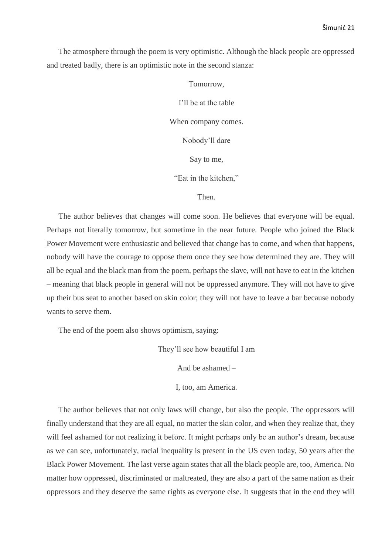The atmosphere through the poem is very optimistic. Although the black people are oppressed and treated badly, there is an optimistic note in the second stanza:

Tomorrow,

I'll be at the table

When company comes.

Nobody'll dare

Say to me,

"Eat in the kitchen,"

Then.

The author believes that changes will come soon. He believes that everyone will be equal. Perhaps not literally tomorrow, but sometime in the near future. People who joined the Black Power Movement were enthusiastic and believed that change has to come, and when that happens, nobody will have the courage to oppose them once they see how determined they are. They will all be equal and the black man from the poem, perhaps the slave, will not have to eat in the kitchen – meaning that black people in general will not be oppressed anymore. They will not have to give up their bus seat to another based on skin color; they will not have to leave a bar because nobody wants to serve them.

The end of the poem also shows optimism, saying:

They'll see how beautiful I am

And be ashamed –

I, too, am America.

The author believes that not only laws will change, but also the people. The oppressors will finally understand that they are all equal, no matter the skin color, and when they realize that, they will feel ashamed for not realizing it before. It might perhaps only be an author's dream, because as we can see, unfortunately, racial inequality is present in the US even today, 50 years after the Black Power Movement. The last verse again states that all the black people are, too, America. No matter how oppressed, discriminated or maltreated, they are also a part of the same nation as their oppressors and they deserve the same rights as everyone else. It suggests that in the end they will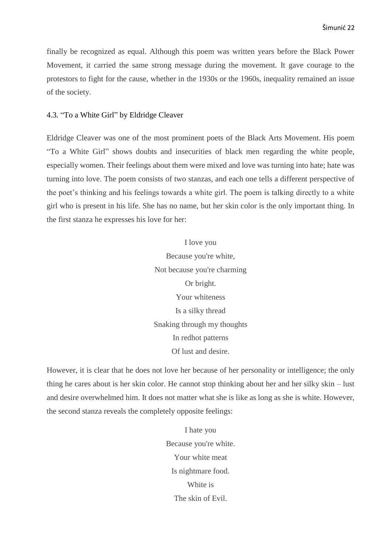finally be recognized as equal. Although this poem was written years before the Black Power Movement, it carried the same strong message during the movement. It gave courage to the protestors to fight for the cause, whether in the 1930s or the 1960s, inequality remained an issue of the society.

### <span id="page-26-0"></span>4.3*.* "To a White Girl" by Eldridge Cleaver

Eldridge Cleaver was one of the most prominent poets of the Black Arts Movement. His poem "To a White Girl" shows doubts and insecurities of black men regarding the white people, especially women. Their feelings about them were mixed and love was turning into hate; hate was turning into love. The poem consists of two stanzas, and each one tells a different perspective of the poet's thinking and his feelings towards a white girl. The poem is talking directly to a white girl who is present in his life. She has no name, but her skin color is the only important thing. In the first stanza he expresses his love for her:

> I love you Because you're white, Not because you're charming Or bright. Your whiteness Is a silky thread Snaking through my thoughts In redhot patterns Of lust and desire.

However, it is clear that he does not love her because of her personality or intelligence; the only thing he cares about is her skin color. He cannot stop thinking about her and her silky skin – lust and desire overwhelmed him. It does not matter what she is like as long as she is white. However, the second stanza reveals the completely opposite feelings:

> I hate you Because you're white. Your white meat Is nightmare food. White is The skin of Evil.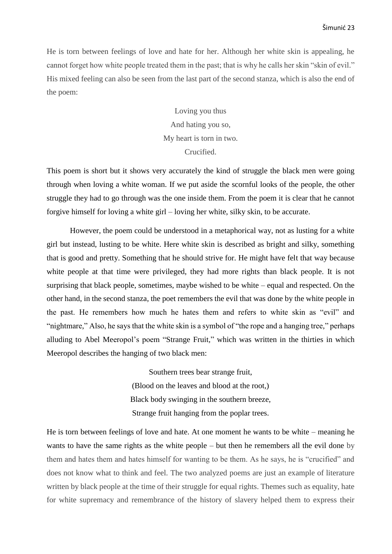He is torn between feelings of love and hate for her. Although her white skin is appealing, he cannot forget how white people treated them in the past; that is why he calls her skin "skin of evil." His mixed feeling can also be seen from the last part of the second stanza, which is also the end of the poem:

> Loving you thus And hating you so, My heart is torn in two. Crucified.

This poem is short but it shows very accurately the kind of struggle the black men were going through when loving a white woman. If we put aside the scornful looks of the people, the other struggle they had to go through was the one inside them. From the poem it is clear that he cannot forgive himself for loving a white girl – loving her white, silky skin, to be accurate.

However, the poem could be understood in a metaphorical way, not as lusting for a white girl but instead, lusting to be white. Here white skin is described as bright and silky, something that is good and pretty. Something that he should strive for. He might have felt that way because white people at that time were privileged, they had more rights than black people. It is not surprising that black people, sometimes, maybe wished to be white – equal and respected. On the other hand, in the second stanza, the poet remembers the evil that was done by the white people in the past. He remembers how much he hates them and refers to white skin as "evil" and "nightmare," Also, he says that the white skin is a symbol of "the rope and a hanging tree," perhaps alluding to Abel Meeropol's poem "Strange Fruit*,*" which was written in the thirties in which Meeropol describes the hanging of two black men:

> [Southern trees bear strange fruit,](https://genius.com/Abel-meeropol-bitter-fruit-annotated#note-1958705) [\(Blood on the leaves and blood at the root,\)](https://genius.com/Abel-meeropol-bitter-fruit-annotated#note-1958705) [Black body swinging in the southern breeze,](https://genius.com/Abel-meeropol-bitter-fruit-annotated#note-1653943) [Strange fruit hanging from the poplar trees.](https://genius.com/Abel-meeropol-bitter-fruit-annotated#note-4873551)

He is torn between feelings of love and hate. At one moment he wants to be white – meaning he wants to have the same rights as the white people – but then he remembers all the evil done by them and hates them and hates himself for wanting to be them. As he says, he is "crucified" and does not know what to think and feel. The two analyzed poems are just an example of literature written by black people at the time of their struggle for equal rights. Themes such as equality, hate for white supremacy and remembrance of the history of slavery helped them to express their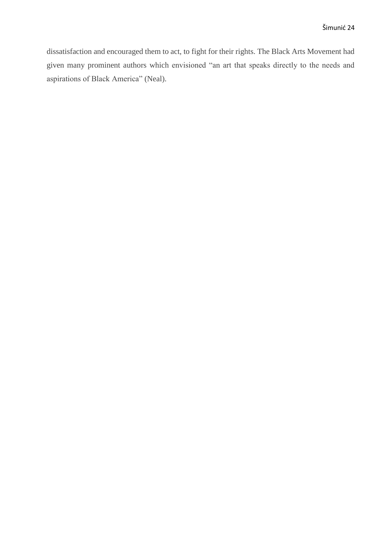dissatisfaction and encouraged them to act, to fight for their rights. The Black Arts Movement had given many prominent authors which envisioned "an art that speaks directly to the needs and aspirations of Black America" (Neal).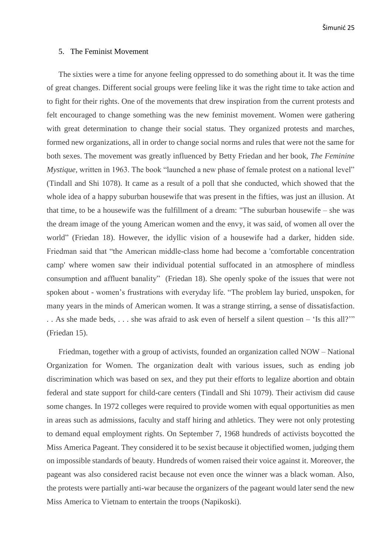## <span id="page-29-0"></span>5. The Feminist Movement

The sixties were a time for anyone feeling oppressed to do something about it. It was the time of great changes. Different social groups were feeling like it was the right time to take action and to fight for their rights. One of the movements that drew inspiration from the current protests and felt encouraged to change something was the new feminist movement. Women were gathering with great determination to change their social status. They organized protests and marches, formed new organizations, all in order to change social norms and rules that were not the same for both sexes. The movement was greatly influenced by Betty Friedan and her book, *The Feminine Mystique,* written in 1963. The book "launched a new phase of female protest on a national level" (Tindall and Shi 1078). It came as a result of a poll that she conducted, which showed that the whole idea of a happy suburban housewife that was present in the fifties, was just an illusion. At that time, to be a housewife was the fulfillment of a dream: "The suburban housewife – she was the dream image of the young American women and the envy, it was said, of women all over the world" (Friedan 18). However, the idyllic vision of a housewife had a darker, hidden side. Friedman said that "the American middle-class home had become a 'comfortable concentration camp' where women saw their individual potential suffocated in an atmosphere of mindless consumption and affluent banality" (Friedan 18). She openly spoke of the issues that were not spoken about - women's frustrations with everyday life. "The problem lay buried, unspoken, for many years in the minds of American women. It was a strange stirring, a sense of dissatisfaction. . . As she made beds, . . . she was afraid to ask even of herself a silent question – 'Is this all?'" (Friedan 15).

Friedman, together with a group of activists, founded an organization called NOW – National Organization for Women. The organization dealt with various issues, such as ending job discrimination which was based on sex, and they put their efforts to legalize abortion and obtain federal and state support for child-care centers (Tindall and Shi 1079). Their activism did cause some changes. In 1972 colleges were required to provide women with equal opportunities as men in areas such as admissions, faculty and staff hiring and athletics. They were not only protesting to demand equal employment rights. On September 7, 1968 hundreds of activists boycotted the Miss America Pageant. They considered it to be sexist because it objectified women, judging them on impossible standards of beauty. Hundreds of women raised their voice against it. Moreover, the pageant was also considered racist because not even once the winner was a black woman. Also, the protests were partially anti-war because the organizers of the pageant would later send the new Miss America to Vietnam to entertain the troops (Napikoski).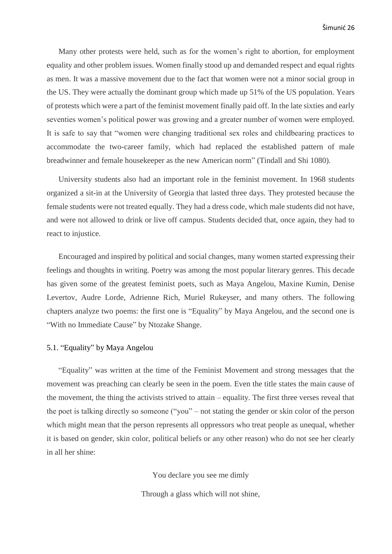Many other protests were held, such as for the women's right to abortion, for employment equality and other problem issues. Women finally stood up and demanded respect and equal rights as men. It was a massive movement due to the fact that women were not a minor social group in the US. They were actually the dominant group which made up 51% of the US population. Years of protests which were a part of the feminist movement finally paid off. In the late sixties and early seventies women's political power was growing and a greater number of women were employed. It is safe to say that "women were changing traditional sex roles and childbearing practices to accommodate the two-career family, which had replaced the established pattern of male breadwinner and female housekeeper as the new American norm" (Tindall and Shi 1080).

University students also had an important role in the feminist movement. In 1968 students organized a sit-in at the University of Georgia that lasted three days. They protested because the female students were not treated equally. They had a dress code, which male students did not have, and were not allowed to drink or live off campus. Students decided that, once again, they had to react to injustice.

Encouraged and inspired by political and social changes, many women started expressing their feelings and thoughts in writing. Poetry was among the most popular literary genres. This decade has given some of the greatest feminist poets, such as Maya Angelou, Maxine Kumin, Denise Levertov, Audre Lorde, Adrienne Rich, Muriel Rukeyser, and many others. The following chapters analyze two poems: the first one is "Equality" by Maya Angelou, and the second one is "With no Immediate Cause" by Ntozake Shange.

### <span id="page-30-0"></span>5.1. "Equality" by Maya Angelou

"Equality" was written at the time of the Feminist Movement and strong messages that the movement was preaching can clearly be seen in the poem. Even the title states the main cause of the movement, the thing the activists strived to attain – equality. The first three verses reveal that the poet is talking directly so someone ("you" – not stating the gender or skin color of the person which might mean that the person represents all oppressors who treat people as unequal, whether it is based on gender, skin color, political beliefs or any other reason) who do not see her clearly in all her shine:

You declare you see me dimly

Through a glass which will not shine,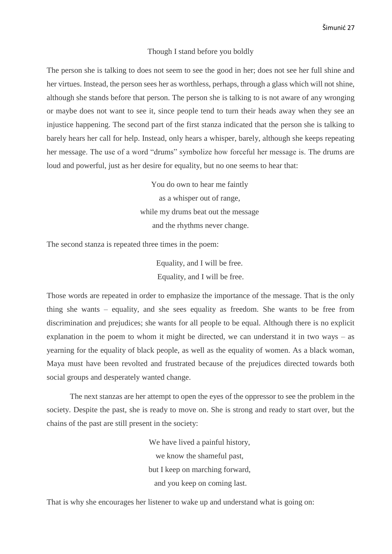Šimunić 27

#### Though I stand before you boldly

The person she is talking to does not seem to see the good in her; does not see her full shine and her virtues. Instead, the person sees her as worthless, perhaps, through a glass which will not shine, although she stands before that person. The person she is talking to is not aware of any wronging or maybe does not want to see it, since people tend to turn their heads away when they see an injustice happening. The second part of the first stanza indicated that the person she is talking to barely hears her call for help. Instead, only hears a whisper, barely, although she keeps repeating her message. The use of a word "drums" symbolize how forceful her message is. The drums are loud and powerful, just as her desire for equality, but no one seems to hear that:

> You do own to hear me faintly as a whisper out of range, while my drums beat out the message and the rhythms never change.

The second stanza is repeated three times in the poem:

Equality, and I will be free. Equality, and I will be free.

Those words are repeated in order to emphasize the importance of the message. That is the only thing she wants – equality, and she sees equality as freedom. She wants to be free from discrimination and prejudices; she wants for all people to be equal. Although there is no explicit explanation in the poem to whom it might be directed, we can understand it in two ways – as yearning for the equality of black people, as well as the equality of women. As a black woman, Maya must have been revolted and frustrated because of the prejudices directed towards both social groups and desperately wanted change.

The next stanzas are her attempt to open the eyes of the oppressor to see the problem in the society. Despite the past, she is ready to move on. She is strong and ready to start over, but the chains of the past are still present in the society:

> We have lived a painful history, we know the shameful past, but I keep on marching forward, and you keep on coming last.

That is why she encourages her listener to wake up and understand what is going on: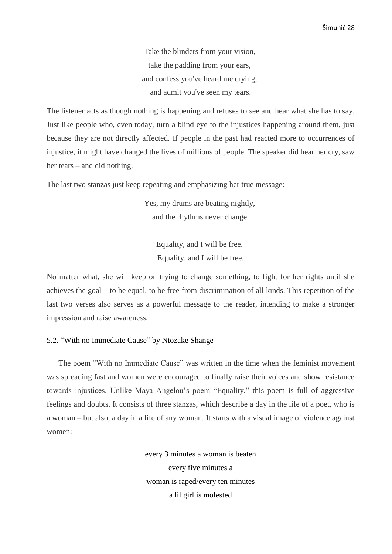Take the blinders from your vision, take the padding from your ears, and confess you've heard me crying, and admit you've seen my tears.

The listener acts as though nothing is happening and refuses to see and hear what she has to say. Just like people who, even today, turn a blind eye to the injustices happening around them, just because they are not directly affected. If people in the past had reacted more to occurrences of injustice, it might have changed the lives of millions of people. The speaker did hear her cry, saw her tears – and did nothing.

The last two stanzas just keep repeating and emphasizing her true message:

Yes, my drums are beating nightly, and the rhythms never change.

> Equality, and I will be free. Equality, and I will be free.

No matter what, she will keep on trying to change something, to fight for her rights until she achieves the goal – to be equal, to be free from discrimination of all kinds. This repetition of the last two verses also serves as a powerful message to the reader, intending to make a stronger impression and raise awareness.

## <span id="page-32-0"></span>5.2. "With no Immediate Cause" by Ntozake Shange

The poem "With no Immediate Cause" was written in the time when the feminist movement was spreading fast and women were encouraged to finally raise their voices and show resistance towards injustices. Unlike Maya Angelou's poem "Equality," this poem is full of aggressive feelings and doubts. It consists of three stanzas, which describe a day in the life of a poet, who is a woman – but also, a day in a life of any woman. It starts with a visual image of violence against women:

> every 3 minutes a woman is beaten every five minutes a woman is raped/every ten minutes a lil girl is molested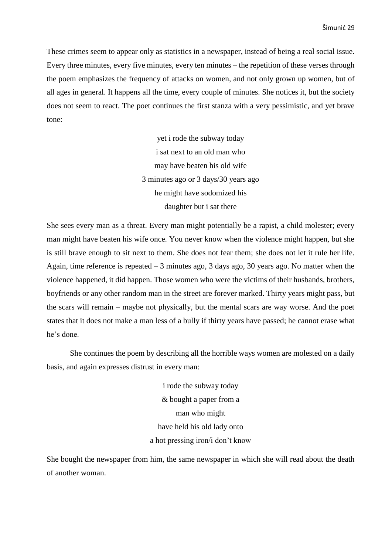These crimes seem to appear only as statistics in a newspaper, instead of being a real social issue. Every three minutes, every five minutes, every ten minutes – the repetition of these verses through the poem emphasizes the frequency of attacks on women, and not only grown up women, but of all ages in general. It happens all the time, every couple of minutes. She notices it, but the society does not seem to react. The poet continues the first stanza with a very pessimistic, and yet brave tone:

> yet i rode the subway today i sat next to an old man who may have beaten his old wife 3 minutes ago or 3 days/30 years ago he might have sodomized his daughter but i sat there

She sees every man as a threat. Every man might potentially be a rapist, a child molester; every man might have beaten his wife once. You never know when the violence might happen, but she is still brave enough to sit next to them. She does not fear them; she does not let it rule her life. Again, time reference is repeated – 3 minutes ago, 3 days ago, 30 years ago. No matter when the violence happened, it did happen. Those women who were the victims of their husbands, brothers, boyfriends or any other random man in the street are forever marked. Thirty years might pass, but the scars will remain – maybe not physically, but the mental scars are way worse. And the poet states that it does not make a man less of a bully if thirty years have passed; he cannot erase what he's done.

She continues the poem by describing all the horrible ways women are molested on a daily basis, and again expresses distrust in every man:

> i rode the subway today & bought a paper from a man who might have held his old lady onto a hot pressing iron/i don't know

She bought the newspaper from him, the same newspaper in which she will read about the death of another woman.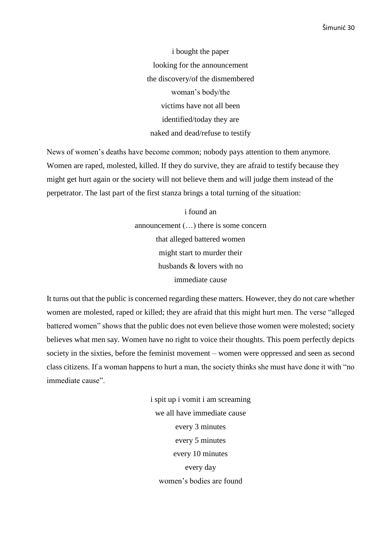i bought the paper looking for the announcement the discovery/of the dismembered woman's body/the victims have not all been identified/today they are naked and dead/refuse to testify

News of women's deaths have become common; nobody pays attention to them anymore. Women are raped, molested, killed. If they do survive, they are afraid to testify because they might get hurt again or the society will not believe them and will judge them instead of the perpetrator. The last part of the first stanza brings a total turning of the situation:

> i found an announcement (…) there is some concern that alleged battered women might start to murder their husbands & lovers with no immediate cause

It turns out that the public is concerned regarding these matters. However, they do not care whether women are molested, raped or killed; they are afraid that this might hurt men. The verse "alleged battered women" shows that the public does not even believe those women were molested; society believes what men say. Women have no right to voice their thoughts. This poem perfectly depicts society in the sixties, before the feminist movement – women were oppressed and seen as second class citizens. If a woman happens to hurt a man, the society thinks she must have done it with "no immediate cause".

> i spit up i vomit i am screaming we all have immediate cause every 3 minutes every 5 minutes every 10 minutes every day women's bodies are found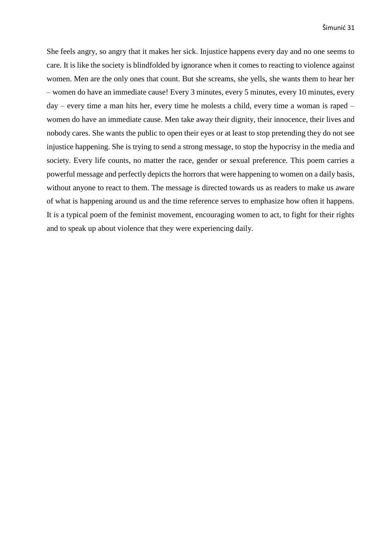She feels angry, so angry that it makes her sick. Injustice happens every day and no one seems to care. It is like the society is blindfolded by ignorance when it comes to reacting to violence against women. Men are the only ones that count. But she screams, she yells, she wants them to hear her – women do have an immediate cause! Every 3 minutes, every 5 minutes, every 10 minutes, every day – every time a man hits her, every time he molests a child, every time a woman is raped – women do have an immediate cause. Men take away their dignity, their innocence, their lives and nobody cares. She wants the public to open their eyes or at least to stop pretending they do not see injustice happening. She is trying to send a strong message, to stop the hypocrisy in the media and society. Every life counts, no matter the race, gender or sexual preference. This poem carries a powerful message and perfectly depicts the horrors that were happening to women on a daily basis, without anyone to react to them. The message is directed towards us as readers to make us aware of what is happening around us and the time reference serves to emphasize how often it happens. It is a typical poem of the feminist movement, encouraging women to act, to fight for their rights and to speak up about violence that they were experiencing daily.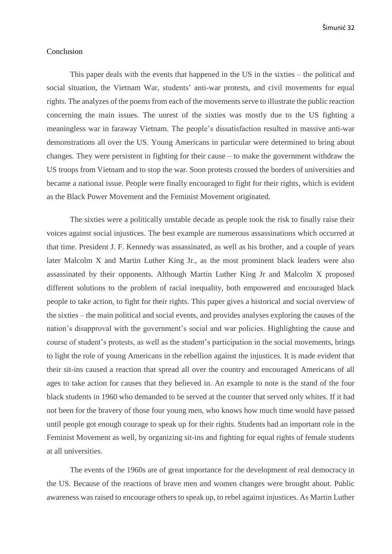### <span id="page-36-0"></span>Conclusion

This paper deals with the events that happened in the US in the sixties – the political and social situation, the Vietnam War, students' anti-war protests, and civil movements for equal rights. The analyzes of the poems from each of the movements serve to illustrate the public reaction concerning the main issues. The unrest of the sixties was mostly due to the US fighting a meaningless war in faraway Vietnam. The people's dissatisfaction resulted in massive anti-war demonstrations all over the US. Young Americans in particular were determined to bring about changes. They were persistent in fighting for their cause – to make the government withdraw the US troops from Vietnam and to stop the war. Soon protests crossed the borders of universities and became a national issue. People were finally encouraged to fight for their rights, which is evident as the Black Power Movement and the Feminist Movement originated.

The sixties were a politically unstable decade as people took the risk to finally raise their voices against social injustices. The best example are numerous assassinations which occurred at that time. President J. F. Kennedy was assassinated, as well as his brother, and a couple of years later Malcolm X and Martin Luther King Jr., as the most prominent black leaders were also assassinated by their opponents. Although Martin Luther King Jr and Malcolm X proposed different solutions to the problem of racial inequality, both empowered and encouraged black people to take action, to fight for their rights. This paper gives a historical and social overview of the sixties – the main political and social events, and provides analyses exploring the causes of the nation's disapproval with the government's social and war policies. Highlighting the cause and course of student's protests, as well as the student's participation in the social movements, brings to light the role of young Americans in the rebellion against the injustices. It is made evident that their sit-ins caused a reaction that spread all over the country and encouraged Americans of all ages to take action for causes that they believed in. An example to note is the stand of the four black students in 1960 who demanded to be served at the counter that served only whites. If it had not been for the bravery of those four young men, who knows how much time would have passed until people got enough courage to speak up for their rights. Students had an important role in the Feminist Movement as well, by organizing sit-ins and fighting for equal rights of female students at all universities.

The events of the 1960s are of great importance for the development of real democracy in the US. Because of the reactions of brave men and women changes were brought about. Public awareness was raised to encourage others to speak up, to rebel against injustices. As Martin Luther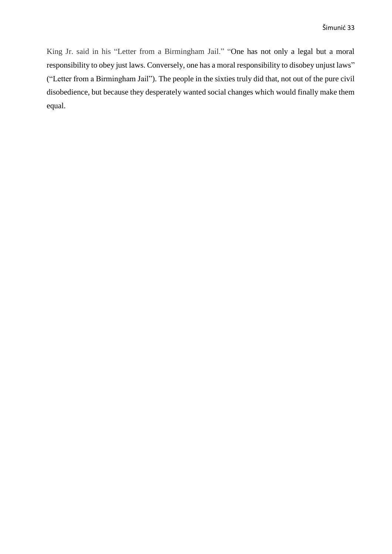King Jr. said in his "Letter from a Birmingham Jail." "One has not only a legal but a moral responsibility to obey just laws. Conversely, one has a moral responsibility to disobey unjust laws" ("Letter from a Birmingham Jail"). The people in the sixties truly did that, not out of the pure civil disobedience, but because they desperately wanted social changes which would finally make them equal.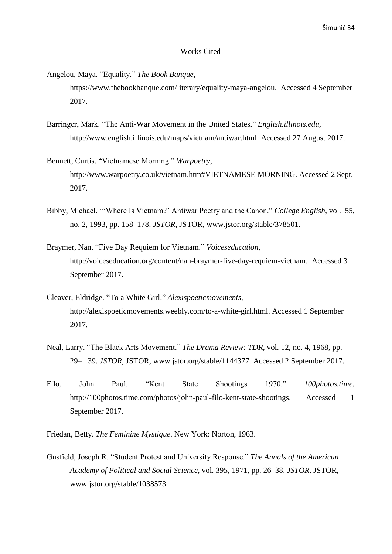#### Works Cited

- <span id="page-38-0"></span>Angelou, Maya. "Equality." *The Book Banque,*  [https://www.thebookbanque.com/literary/equality-maya-angelou.](https://www.thebookbanque.com/literary/equality-maya-angelou) Accessed 4 September 2017.
- Barringer, Mark. "The Anti-War Movement in the United States." *English.illinois.edu,* [http://www.english.illinois.edu/maps/vietnam/antiwar.html.](http://www.english.illinois.edu/maps/vietnam/antiwar.html) Accessed 27 August 2017.
- Bennett, Curtis. "Vietnamese Morning." *Warpoetry,* http://www.warpoetry.co.uk/vietnam.htm#VIETNAMESE MORNING. Accessed 2 Sept. 2017.
- Bibby, Michael. "'Where Is Vietnam?' Antiwar Poetry and the Canon." *College English*, vol. 55, no. 2, 1993, pp. 158–178. *JSTOR*, JSTOR, [www.jstor.org/stable/378501.](http://www.jstor.org/stable/378501)
- Braymer, Nan. "Five Day Requiem for Vietnam." *Voiceseducation,*  [http://voiceseducation.org/content/nan-braymer-five-day-requiem-vietnam.](http://voiceseducation.org/content/nan-braymer-five-day-requiem-vietnam) Accessed 3 September 2017.
- Cleaver, Eldridge. "To a White Girl." *Alexispoeticmovements,*  http://alexispoeticmovements.weebly.com/to-a-white-girl.html. Accessed 1 September 2017.
- Neal, Larry. "The Black Arts Movement." *The Drama Review: TDR*, vol. 12, no. 4, 1968, pp. 29– 39. *JSTOR*, JSTOR, [www.jstor.org/stable/1144377.](http://www.jstor.org/stable/1144377) Accessed 2 September 2017.
- Filo, John Paul. "Kent State Shootings 1970." *100photos.time,*  http://100photos.time.com/photos/john-paul-filo-kent-state-shootings. Accessed 1 September 2017.
- Friedan, Betty. *The Feminine Mystique*. New York: Norton, 1963.
- Gusfield, Joseph R. "Student Protest and University Response." *The Annals of the American Academy of Political and Social Science*, vol. 395, 1971, pp. 26–38. *JSTOR*, JSTOR, [www.jstor.org/stable/1038573.](http://www.jstor.org/stable/1038573)